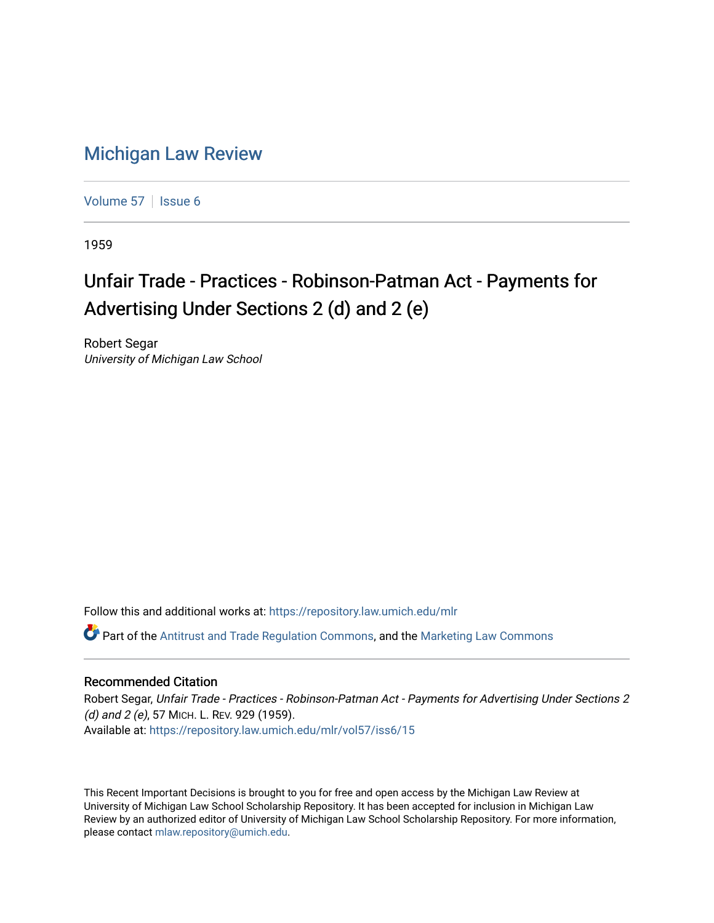## [Michigan Law Review](https://repository.law.umich.edu/mlr)

[Volume 57](https://repository.law.umich.edu/mlr/vol57) | [Issue 6](https://repository.law.umich.edu/mlr/vol57/iss6)

1959

## Unfair Trade - Practices - Robinson-Patman Act - Payments for Advertising Under Sections 2 (d) and 2 (e)

Robert Segar University of Michigan Law School

Follow this and additional works at: [https://repository.law.umich.edu/mlr](https://repository.law.umich.edu/mlr?utm_source=repository.law.umich.edu%2Fmlr%2Fvol57%2Fiss6%2F15&utm_medium=PDF&utm_campaign=PDFCoverPages) 

 $\bullet$  Part of the [Antitrust and Trade Regulation Commons,](http://network.bepress.com/hgg/discipline/911?utm_source=repository.law.umich.edu%2Fmlr%2Fvol57%2Fiss6%2F15&utm_medium=PDF&utm_campaign=PDFCoverPages) and the Marketing Law Commons

## Recommended Citation

Robert Segar, Unfair Trade - Practices - Robinson-Patman Act - Payments for Advertising Under Sections 2 (d) and 2 (e), 57 MICH. L. REV. 929 (1959). Available at: [https://repository.law.umich.edu/mlr/vol57/iss6/15](https://repository.law.umich.edu/mlr/vol57/iss6/15?utm_source=repository.law.umich.edu%2Fmlr%2Fvol57%2Fiss6%2F15&utm_medium=PDF&utm_campaign=PDFCoverPages) 

This Recent Important Decisions is brought to you for free and open access by the Michigan Law Review at University of Michigan Law School Scholarship Repository. It has been accepted for inclusion in Michigan Law Review by an authorized editor of University of Michigan Law School Scholarship Repository. For more information, please contact [mlaw.repository@umich.edu.](mailto:mlaw.repository@umich.edu)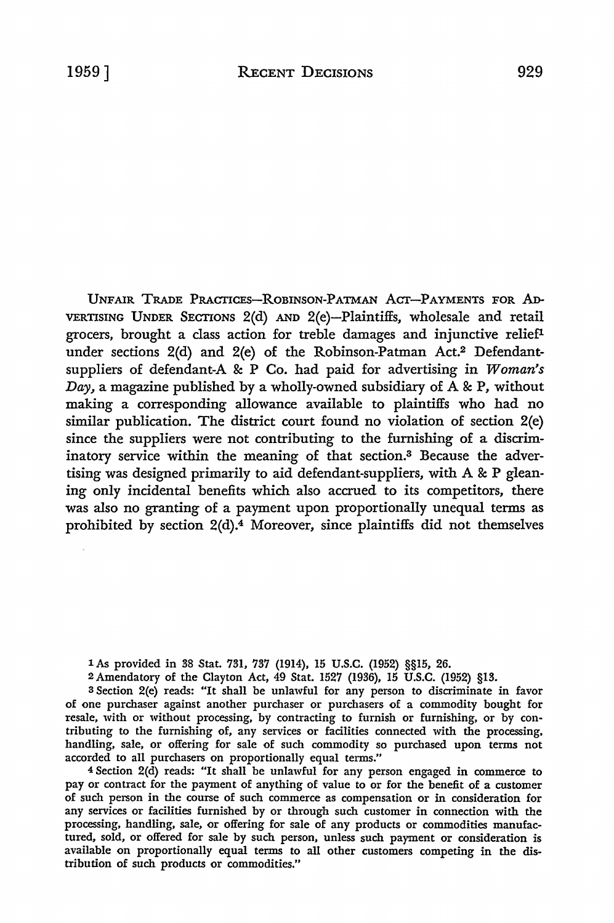UNFAIR TRADE PRACTICEs-RoBINsoN-PATMAN Acr-PAYMENTS FOR AD-VERTISING UNDER SECTIONS 2(d) AND 2(e)-Plaintiffs, wholesale and retail grocers, brought a class action for treble damages and injunctive relieflunder sections 2(d) and 2(e) of the Robinson-Patman Act.2 Defendantsuppliers of defendant-A & P Co. had paid for advertising in *Woman's Day,* a magazine published by a wholly-owned subsidiary of A & P, without making a corresponding allowance available to plaintiffs who had no similar publication. The district court found no violation of section 2(e) since the suppliers were not contributing to the furnishing of a discriminatory service within the meaning of that section.3 Because the advertising was designed primarily to aid defendant-suppliers, with A & P gleaning only incidental benefits which also accrued to its competitors, there was also no granting of a payment upon proportionally unequal terms as prohibited by section 2(d).4 Moreover, since plaintiffs did not themselves

1 As provided in 38 Stat. 731, 737 (1914), 15 U.S.C. (1952) §§15, 26.

2 Amendatory of the Clayton Act, 49 Stat. 1527 (1936), 15 U.S.C. (1952) §13.

<sup>3</sup>Section 2(e) reads: "It shall be unlawful for any person to discriminate in favor of one purchaser against another purchaser or purchasers of a commodity bought for resale, with or without processing, by contracting to furnish or furnishing, or by contributing to the furnishing of, any services or facilities connected with the processing, handling, sale, or offering for sale of such commodity so purchased upon terms not accorded to all purchasers on proportionally equal terms."

<sup>4</sup>Section 2(d) reads: "It shall be unlawful for any person engaged in commerce to pay or contract for the payment of anything of value to or for the benefit of a customer of such person in the course of such commerce as compensation or in consideration for any services or facilities furnished by or through such customer in connection with the processing, handling, sale, or offering for sale of any products or commodities manufactured, sold, or offered for sale by such person, unless such payment or consideration is available on proportionally equal terms to all other customers competing in the distribution of such products or commodities."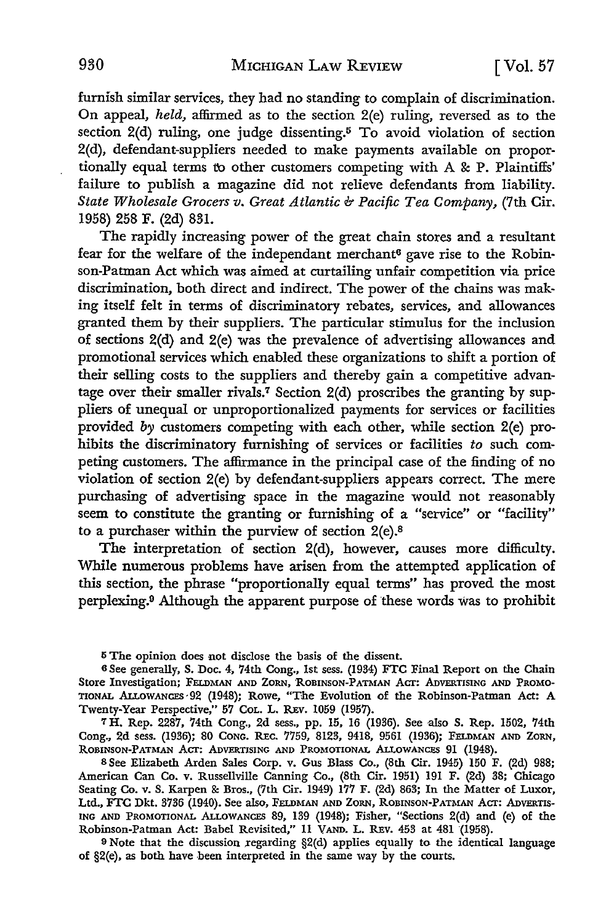furnish similar services, they had no standing to complain of discrimination. On appeal, *held,* affirmed as to the section 2(e) ruling, reversed as to the section 2(d) ruling, one judge dissenting.<sup>5</sup> To avoid violation of section 2(d), defendant-suppliers needed to make payments available on proportionally equal terms to other customers competing with A & P. Plaintiffs' failure to publish a magazine did not relieve defendants from liability. *State Wholesale Grocers v. Great Atlantic & Pacific Tea Company,* (7th Cir. 1958) 258 F. (2d) 831.

The rapidly increasing power of the great chain stores and a resultant fear for the welfare of the independant merchant<sup>6</sup> gave rise to the Robinson-Patman Act which was aimed at curtailing unfair competition via price discrimination, both direct and indirect. The power of the chains was making itself felt in terms of discriminatory rebates, services, and allowances granted them by their suppliers. The particular stimulus for the inclusion of sections 2(d) and 2(e) was the prevalence of advertising allowances and promotional services which enabled these organizations to shift a portion of their selling costs to the suppliers and thereby gain a competitive advantage over their smaller rivals.<sup>7</sup> Section  $2(d)$  proscribes the granting by suppliers of unequal or unproportionalized payments for services or facilities provided by customers competing with each other, while section 2(e) prohibits the discriminatory furnishing of services or facilities *to* such competing customers. The affirmance in the principal case of the finding of no violation of section 2(e) by defendant-suppliers appears correct. The mere purchasing of advertising space in the magazine would not reasonably seem to constitute the granting or furnishing of a "service" or "facility" to a purchaser within the purview of section  $2(e)$ .<sup>8</sup>

The interpretation of section 2(d), however, causes more difficulty. While numerous problems have arisen from the attempted application of this section, the phrase "proportionally equal terms" has proved the most perplexing.9 Although the apparent purpose of these words was to prohibit

<sup>5</sup>The opinion does not disclose the basis of the dissent.

<sup>6</sup>See generally, S. Doc. 4, 74th Cong., 1st sess. (1934) FTC Final Report on the Chain Store Investigation; FELDMAN AND ZORN, 'ROBINSON-PATMAN Acr: ADVERTISING AND PROMO-TIONAL AI.LowANCES·92 (1948); Rowe, "The Evolution of the Robinson-Patman Act: A Twenty-Year Perspective," 57 CoL. L. REv. 1059 (1957).

7H. Rep. 2287, 74th Cong., 2d sess., pp. 15, 16 (1936). See also S. Rep. 1502, 74th Cong., 2d sess. (1936); 80 CONG. REc. 7759, 8123, 9418, 9561 (1936); FELDMAN AND ZORN, ROBINSON-PATMAN ACT: ADVERTISING AND PROMOTIONAL ALLOWANCES 91 (1948).

8 See Elizabeth Arden Sales Corp. v. Gus Blass Co., (8th Cir. 1945) 150 F. (2d) 988; American Can Co. v. Russellville Canning Co., (8th Cir. 1951) 191 F. (2d) 38; Chicago Seating Co. v. S. Karpen &: Bros., (7th Cir. 1949) 177 F. (2d) 863; In the Matter of Luxor, Ltd., FTC Dkt. 3736 (1940). See also, FELDMAN AND ZORN, ROBINSON-PATMAN ACT: ADVERTIS-ING AND PROMOTIONAL ALLOWANCES 89, 139 (1948); Fisher, "Sections 2(d) and (e) of the Robinson-Patman Act: Babel Revisited," 11 VAND. L. REV. 453 at 481 (1958).

9 Note that the discussion regarding §2(d) applies equally to the identical language of  $\S2(e)$ , as both have been interpreted in the same way by the courts.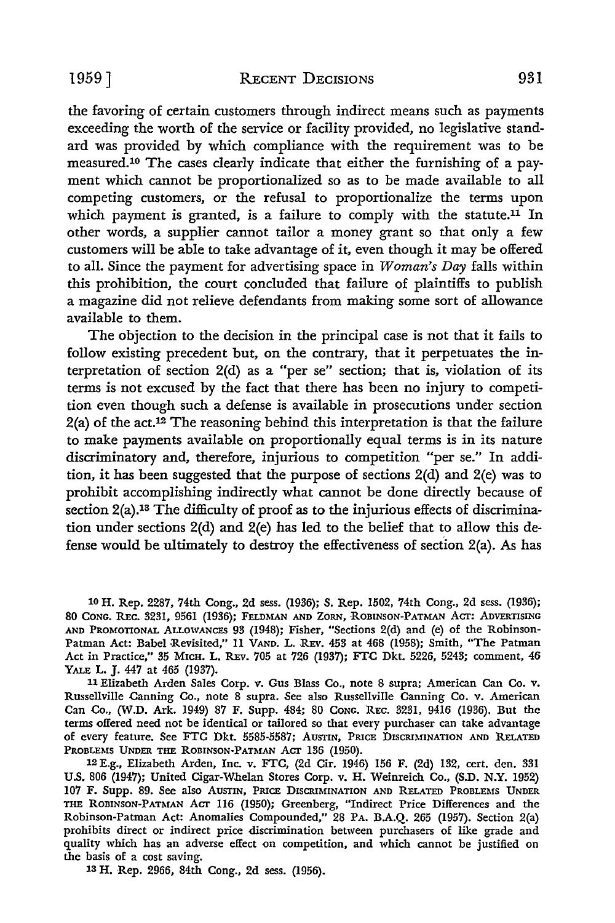the favoring of certain customers through indirect means such as payments exceeding the worth of the service or facility provided, no legislative standard was provided by which compliance with the requirement was to be measured.10 The cases clearly indicate that either the furnishing of a payment which cannot be proportionalized so as to be made available to all competing customers, or the refusal to proportionalize the terms upon which payment is granted, is a failure to comply with the statute.<sup>11</sup> In other words, a supplier cannot tailor a money grant so that only a few customers will be able to take advantage of it, even though it may be offered to all. Since the payment for advertising space in *Woman's Day* falls within this prohibition, the court concluded that failure of plaintiffs to publish a magazine did not relieve defendants from making some sort of allowance available to them.

The objection to the decision in the principal case is not that it fails to follow existing precedent but, on the contrary, that it perpetuates the interpretation of section 2(d) as a "per se" section; that is, violation of its terms is not excused by the fact that there has been no injury to competition even though such a defense is available in prosecutions under section 2(a) of the act.12 The reasoning behind this interpretation is that the failure to make payments available on proportionally equal terms is in its nature discriminatory and, therefore, injurious to competition "per se." In addition, it has been suggested that the purpose of sections 2(d) and 2(e) was to prohibit accomplishing indirectly what cannot be done directly because of section 2(a).<sup>13</sup> The difficulty of proof as to the injurious effects of discrimination under sections 2(d) and 2(e) has led to the belief that to allow this defense would be ultimately to destroy the effectiveness of section 2(a). As has

10 H. Rep. 2287, 74th Cong., 2d sess. (1936); *S.* Rep. 1502, 74th Cong., 2d sess. (1936); 80 CONG. R.Ec. 3231, 9561 (1936); FELDMAN AND ZORN, ROBINSON-PATMAN ACT: ADVERTISING AND PROMOTIONAL ALLOWANCES 93 (1948); Fisher, "Sections 2(d) and (e) of the Robinson-Patman Act: Babel Revisited," 11 VAND. L. REV. 453 at 468 (1958); Smith, "The Patman Act in Practice,'' 35 MICH. L. REV. 705 at 726 (1937}; FTC Dkt. 5226, 5243; comment, 46 YALE L. J. 447 at 465 (1937).

11 Elizabeth Arden Sales Corp. v. Gus Blass Co., note 8 supra; American Can Co. v. Russellville Canning Co., note 8 supra. See also Russellville Canning Co. v. American Can Co., (W.D. Ark. 1949) 87 F. Supp. 484; 80 CONG. REC. 3231, 9416 (1936). But the terms offered need not be identical or tailored so that every purchaser can take advantage of every feature. See FTC Dkt. 5585-5587; AUSTIN, PRICE DISCRIMINATION AND RELATED PROBLEMS UNDER THE ROBINSON-PATMAN ACT 136 (1950).

12 E.g., Elizabeth Arden, Inc. v. FTC, (2d Cir. 1946) 156 F. (2d) 132, cert. den. 331 U.S. 806 (1947); United Cigar-Whelan Stores Corp. v. H. Weinreich Co., (S.D. N.Y. 1952) 107 F. Supp. 89. See also Austin, Price Discrimination and Related Problems Under THE ROBINSON-PATMAN ACT 116 (1950); Greenberg, "Indirect Price Differences and the Robinson-Patman Act: Anomalies Compounded," 28 PA. B.A.Q. 265 (1957). Section 2(a) prohibits direct or indirect price discrimination between purchasers of like grade and quality which has an adverse effect on competition, and which cannot be justified on the basis of a cost saving.

13 H. Rep. 2966, 84th Cong., 2d sess. (1956).